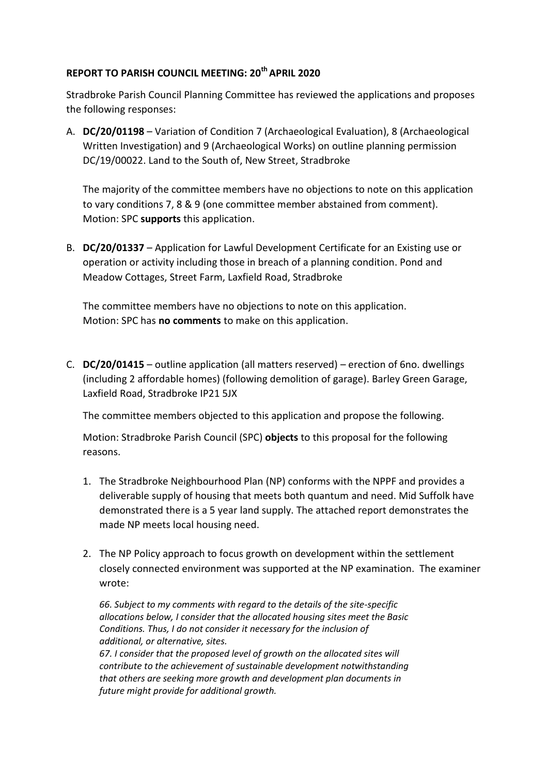## **REPORT TO PARISH COUNCIL MEETING: 20th APRIL 2020**

Stradbroke Parish Council Planning Committee has reviewed the applications and proposes the following responses:

A. **DC/20/01198** – Variation of Condition 7 (Archaeological Evaluation), 8 (Archaeological Written Investigation) and 9 (Archaeological Works) on outline planning permission DC/19/00022. Land to the South of, New Street, Stradbroke

The majority of the committee members have no objections to note on this application to vary conditions 7, 8 & 9 (one committee member abstained from comment). Motion: SPC **supports** this application.

B. **DC/20/01337** – Application for Lawful Development Certificate for an Existing use or operation or activity including those in breach of a planning condition. Pond and Meadow Cottages, Street Farm, Laxfield Road, Stradbroke

The committee members have no objections to note on this application. Motion: SPC has **no comments** to make on this application.

C. **DC/20/01415** – outline application (all matters reserved) – erection of 6no. dwellings (including 2 affordable homes) (following demolition of garage). Barley Green Garage, Laxfield Road, Stradbroke IP21 5JX

The committee members objected to this application and propose the following.

Motion: Stradbroke Parish Council (SPC) **objects** to this proposal for the following reasons.

- 1. The Stradbroke Neighbourhood Plan (NP) conforms with the NPPF and provides a deliverable supply of housing that meets both quantum and need. Mid Suffolk have demonstrated there is a 5 year land supply. The attached report demonstrates the made NP meets local housing need.
- 2. The NP Policy approach to focus growth on development within the settlement closely connected environment was supported at the NP examination. The examiner wrote:

*66. Subject to my comments with regard to the details of the site-specific allocations below, I consider that the allocated housing sites meet the Basic Conditions. Thus, I do not consider it necessary for the inclusion of additional, or alternative, sites. 67. I consider that the proposed level of growth on the allocated sites will contribute to the achievement of sustainable development notwithstanding that others are seeking more growth and development plan documents in future might provide for additional growth.*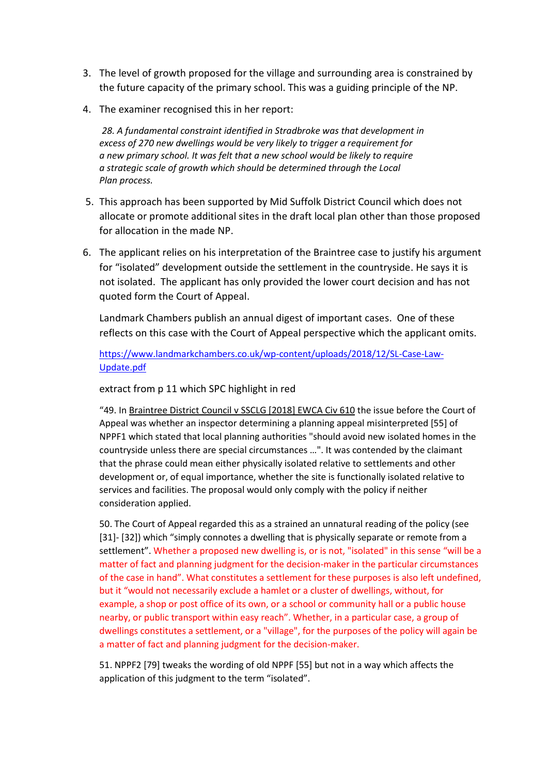- 3. The level of growth proposed for the village and surrounding area is constrained by the future capacity of the primary school. This was a guiding principle of the NP.
- 4. The examiner recognised this in her report:

*28. A fundamental constraint identified in Stradbroke was that development in excess of 270 new dwellings would be very likely to trigger a requirement for a new primary school. It was felt that a new school would be likely to require a strategic scale of growth which should be determined through the Local Plan process.*

- 5. This approach has been supported by Mid Suffolk District Council which does not allocate or promote additional sites in the draft local plan other than those proposed for allocation in the made NP.
- 6. The applicant relies on his interpretation of the Braintree case to justify his argument for "isolated" development outside the settlement in the countryside. He says it is not isolated. The applicant has only provided the lower court decision and has not quoted form the Court of Appeal.

Landmark Chambers publish an annual digest of important cases. One of these reflects on this case with the Court of Appeal perspective which the applicant omits.

[https://www.landmarkchambers.co.uk/wp-content/uploads/2018/12/SL-Case-Law-](https://www.landmarkchambers.co.uk/wp-content/uploads/2018/12/SL-Case-Law-Update.pdf)[Update.pdf](https://www.landmarkchambers.co.uk/wp-content/uploads/2018/12/SL-Case-Law-Update.pdf)

#### extract from p 11 which SPC highlight in red

"49. In Braintree District Council v SSCLG [2018] EWCA Civ 610 the issue before the Court of Appeal was whether an inspector determining a planning appeal misinterpreted [55] of NPPF1 which stated that local planning authorities "should avoid new isolated homes in the countryside unless there are special circumstances …". It was contended by the claimant that the phrase could mean either physically isolated relative to settlements and other development or, of equal importance, whether the site is functionally isolated relative to services and facilities. The proposal would only comply with the policy if neither consideration applied.

50. The Court of Appeal regarded this as a strained an unnatural reading of the policy (see [31]- [32]) which "simply connotes a dwelling that is physically separate or remote from a settlement". Whether a proposed new dwelling is, or is not, "isolated" in this sense "will be a matter of fact and planning judgment for the decision-maker in the particular circumstances of the case in hand". What constitutes a settlement for these purposes is also left undefined, but it "would not necessarily exclude a hamlet or a cluster of dwellings, without, for example, a shop or post office of its own, or a school or community hall or a public house nearby, or public transport within easy reach". Whether, in a particular case, a group of dwellings constitutes a settlement, or a "village", for the purposes of the policy will again be a matter of fact and planning judgment for the decision-maker.

51. NPPF2 [79] tweaks the wording of old NPPF [55] but not in a way which affects the application of this judgment to the term "isolated".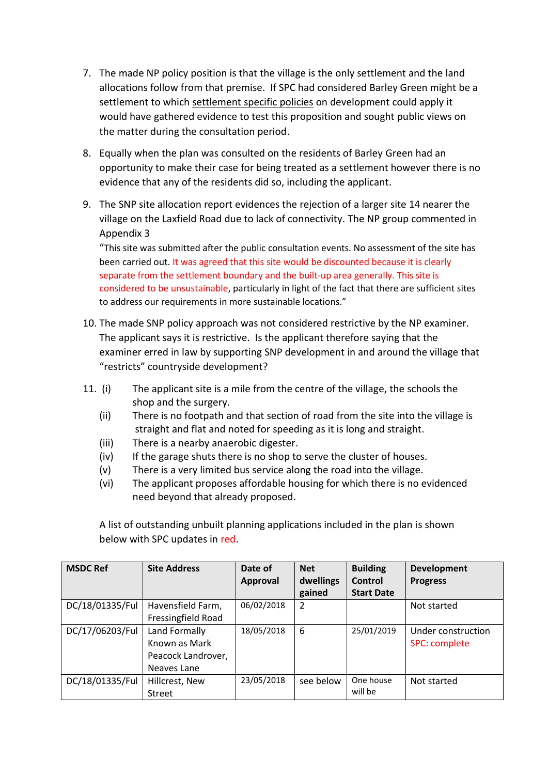- 7. The made NP policy position is that the village is the only settlement and the land allocations follow from that premise. If SPC had considered Barley Green might be a settlement to which settlement specific policies on development could apply it would have gathered evidence to test this proposition and sought public views on the matter during the consultation period.
- 8. Equally when the plan was consulted on the residents of Barley Green had an opportunity to make their case for being treated as a settlement however there is no evidence that any of the residents did so, including the applicant.
- 9. The SNP site allocation report evidences the rejection of a larger site 14 nearer the village on the Laxfield Road due to lack of connectivity. The NP group commented in Appendix 3

"This site was submitted after the public consultation events. No assessment of the site has been carried out. It was agreed that this site would be discounted because it is clearly separate from the settlement boundary and the built-up area generally. This site is considered to be unsustainable, particularly in light of the fact that there are sufficient sites to address our requirements in more sustainable locations."

- 10. The made SNP policy approach was not considered restrictive by the NP examiner. The applicant says it is restrictive. Is the applicant therefore saying that the examiner erred in law by supporting SNP development in and around the village that "restricts" countryside development?
- 11. (i) The applicant site is a mile from the centre of the village, the schools the shop and the surgery.
	- (ii) There is no footpath and that section of road from the site into the village is straight and flat and noted for speeding as it is long and straight.
	- (iii) There is a nearby anaerobic digester.
	- (iv) If the garage shuts there is no shop to serve the cluster of houses.
	- (v) There is a very limited bus service along the road into the village.
	- (vi) The applicant proposes affordable housing for which there is no evidenced need beyond that already proposed.

A list of outstanding unbuilt planning applications included in the plan is shown below with SPC updates in red.

| <b>MSDC Ref</b> | <b>Site Address</b> | Date of         | <b>Net</b> | <b>Building</b>   | <b>Development</b>   |
|-----------------|---------------------|-----------------|------------|-------------------|----------------------|
|                 |                     | <b>Approval</b> | dwellings  | Control           | <b>Progress</b>      |
|                 |                     |                 | gained     | <b>Start Date</b> |                      |
| DC/18/01335/Ful | Havensfield Farm,   | 06/02/2018      | 2          |                   | Not started          |
|                 | Fressingfield Road  |                 |            |                   |                      |
| DC/17/06203/Ful | Land Formally       | 18/05/2018      | 6          | 25/01/2019        | Under construction   |
|                 | Known as Mark       |                 |            |                   | <b>SPC: complete</b> |
|                 | Peacock Landrover,  |                 |            |                   |                      |
|                 | Neaves Lane         |                 |            |                   |                      |
| DC/18/01335/Ful | Hillcrest, New      | 23/05/2018      | see below  | One house         | Not started          |
|                 | Street              |                 |            | will be           |                      |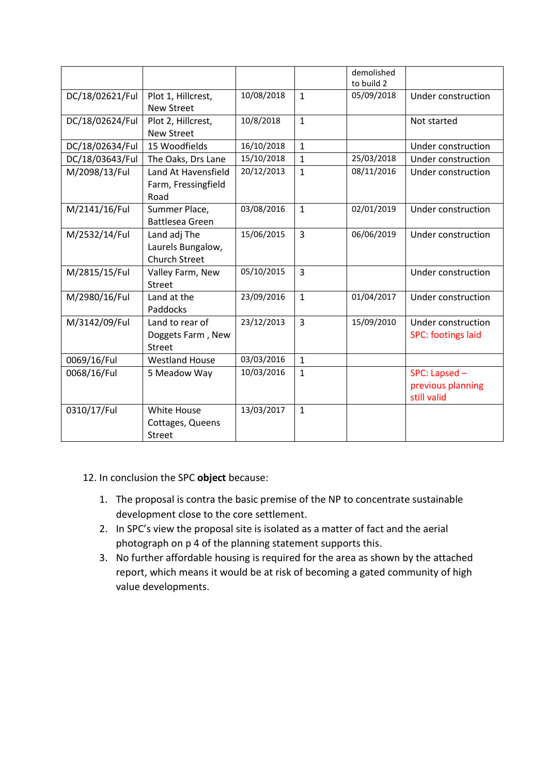|                 |                                                           |            |                | demolished<br>to build 2 |                                                   |
|-----------------|-----------------------------------------------------------|------------|----------------|--------------------------|---------------------------------------------------|
| DC/18/02621/Ful | Plot 1, Hillcrest,<br><b>New Street</b>                   | 10/08/2018 | $\mathbf{1}$   | 05/09/2018               | Under construction                                |
| DC/18/02624/Ful | Plot 2, Hillcrest,<br><b>New Street</b>                   | 10/8/2018  | $\mathbf{1}$   |                          | Not started                                       |
| DC/18/02634/Ful | 15 Woodfields                                             | 16/10/2018 | $\mathbf{1}$   |                          | Under construction                                |
| DC/18/03643/Ful | The Oaks, Drs Lane                                        | 15/10/2018 | $\mathbf{1}$   | 25/03/2018               | Under construction                                |
| M/2098/13/Ful   | Land At Havensfield<br>Farm, Fressingfield<br>Road        | 20/12/2013 | $\mathbf{1}$   | 08/11/2016               | Under construction                                |
| M/2141/16/Ful   | Summer Place,<br>Battlesea Green                          | 03/08/2016 | $\mathbf{1}$   | 02/01/2019               | Under construction                                |
| M/2532/14/Ful   | Land adj The<br>Laurels Bungalow,<br><b>Church Street</b> | 15/06/2015 | $\overline{3}$ | 06/06/2019               | Under construction                                |
| M/2815/15/Ful   | Valley Farm, New<br><b>Street</b>                         | 05/10/2015 | $\overline{3}$ |                          | Under construction                                |
| M/2980/16/Ful   | Land at the<br>Paddocks                                   | 23/09/2016 | $\mathbf{1}$   | 01/04/2017               | Under construction                                |
| M/3142/09/Ful   | Land to rear of<br>Doggets Farm, New<br>Street            | 23/12/2013 | $\overline{3}$ | 15/09/2010               | Under construction<br><b>SPC: footings laid</b>   |
| 0069/16/Ful     | <b>Westland House</b>                                     | 03/03/2016 | $\mathbf{1}$   |                          |                                                   |
| 0068/16/Ful     | 5 Meadow Way                                              | 10/03/2016 | $\mathbf{1}$   |                          | SPC: Lapsed -<br>previous planning<br>still valid |
| 0310/17/Ful     | <b>White House</b><br>Cottages, Queens<br>Street          | 13/03/2017 | $\mathbf{1}$   |                          |                                                   |

## 12. In conclusion the SPC **object** because:

- 1. The proposal is contra the basic premise of the NP to concentrate sustainable development close to the core settlement.
- 2. In SPC's view the proposal site is isolated as a matter of fact and the aerial photograph on p 4 of the planning statement supports this.
- 3. No further affordable housing is required for the area as shown by the attached report, which means it would be at risk of becoming a gated community of high value developments.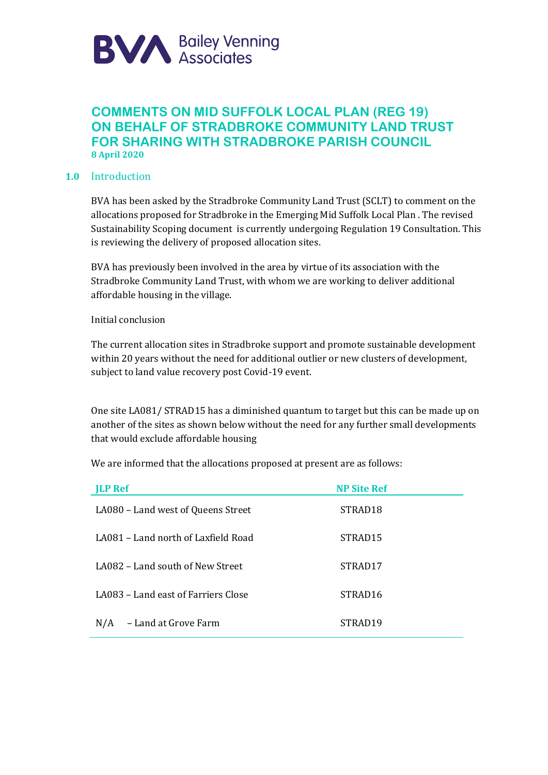

# **COMMENTS ON MID SUFFOLK LOCAL PLAN (REG 19) ON BEHALF OF STRADBROKE COMMUNITY LAND TRUST FOR SHARING WITH STRADBROKE PARISH COUNCIL 8 April 2020**

#### **1.0** Introduction

BVA has been asked by the Stradbroke Community Land Trust (SCLT) to comment on the allocations proposed for Stradbroke in the Emerging Mid Suffolk Local Plan . The revised Sustainability Scoping document is currently undergoing Regulation 19 Consultation. This is reviewing the delivery of proposed allocation sites.

BVA has previously been involved in the area by virtue of its association with the Stradbroke Community Land Trust, with whom we are working to deliver additional affordable housing in the village.

Initial conclusion

The current allocation sites in Stradbroke support and promote sustainable development within 20 years without the need for additional outlier or new clusters of development, subject to land value recovery post Covid-19 event.

One site LA081/ STRAD15 has a diminished quantum to target but this can be made up on another of the sites as shown below without the need for any further small developments that would exclude affordable housing

We are informed that the allocations proposed at present are as follows:

| <b>ILP Ref</b>                      | <b>NP Site Ref</b>  |
|-------------------------------------|---------------------|
| LA080 - Land west of Queens Street  | STRAD <sub>18</sub> |
| LA081 – Land north of Laxfield Road | STRAD <sub>15</sub> |
| LA082 – Land south of New Street    | STRAD17             |
| LA083 – Land east of Farriers Close | STRAD <sub>16</sub> |
| - Land at Grove Farm<br>N/A         | STRAD <sub>19</sub> |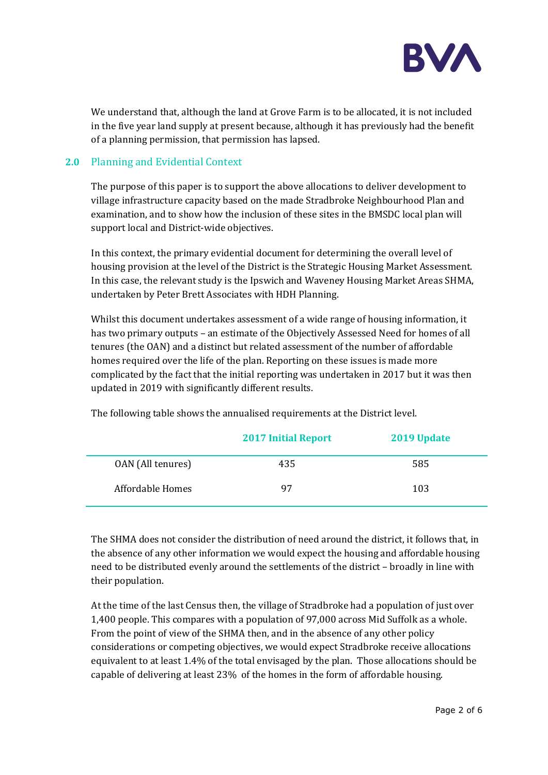

We understand that, although the land at Grove Farm is to be allocated, it is not included in the five year land supply at present because, although it has previously had the benefit of a planning permission, that permission has lapsed.

### **2.0** Planning and Evidential Context

The purpose of this paper is to support the above allocations to deliver development to village infrastructure capacity based on the made Stradbroke Neighbourhood Plan and examination, and to show how the inclusion of these sites in the BMSDC local plan will support local and District-wide objectives.

In this context, the primary evidential document for determining the overall level of housing provision at the level of the District is the Strategic Housing Market Assessment. In this case, the relevant study is the Ipswich and Waveney Housing Market Areas SHMA, undertaken by Peter Brett Associates with HDH Planning.

Whilst this document undertakes assessment of a wide range of housing information, it has two primary outputs – an estimate of the Objectively Assessed Need for homes of all tenures (the OAN) and a distinct but related assessment of the number of affordable homes required over the life of the plan. Reporting on these issues is made more complicated by the fact that the initial reporting was undertaken in 2017 but it was then updated in 2019 with significantly different results.

|                   | <b>2017 Initial Report</b> | 2019 Update |
|-------------------|----------------------------|-------------|
| OAN (All tenures) | 435                        | 585         |
| Affordable Homes  | 97                         | 103         |

The following table shows the annualised requirements at the District level.

The SHMA does not consider the distribution of need around the district, it follows that, in the absence of any other information we would expect the housing and affordable housing need to be distributed evenly around the settlements of the district – broadly in line with their population.

At the time of the last Census then, the village of Stradbroke had a population of just over 1,400 people. This compares with a population of 97,000 across Mid Suffolk as a whole. From the point of view of the SHMA then, and in the absence of any other policy considerations or competing objectives, we would expect Stradbroke receive allocations equivalent to at least 1.4% of the total envisaged by the plan. Those allocations should be capable of delivering at least 23% of the homes in the form of affordable housing.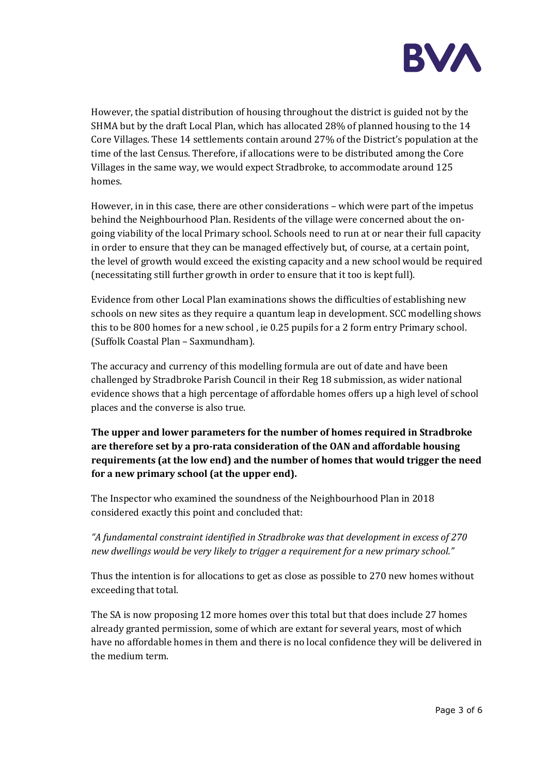

However, the spatial distribution of housing throughout the district is guided not by the SHMA but by the draft Local Plan, which has allocated 28% of planned housing to the 14 Core Villages. These 14 settlements contain around 27% of the District's population at the time of the last Census. Therefore, if allocations were to be distributed among the Core Villages in the same way, we would expect Stradbroke, to accommodate around 125 homes.

However, in in this case, there are other considerations – which were part of the impetus behind the Neighbourhood Plan. Residents of the village were concerned about the ongoing viability of the local Primary school. Schools need to run at or near their full capacity in order to ensure that they can be managed effectively but, of course, at a certain point, the level of growth would exceed the existing capacity and a new school would be required (necessitating still further growth in order to ensure that it too is kept full).

Evidence from other Local Plan examinations shows the difficulties of establishing new schools on new sites as they require a quantum leap in development. SCC modelling shows this to be 800 homes for a new school , ie 0.25 pupils for a 2 form entry Primary school. (Suffolk Coastal Plan – Saxmundham).

The accuracy and currency of this modelling formula are out of date and have been challenged by Stradbroke Parish Council in their Reg 18 submission, as wider national evidence shows that a high percentage of affordable homes offers up a high level of school places and the converse is also true.

**The upper and lower parameters for the number of homes required in Stradbroke are therefore set by a pro-rata consideration of the OAN and affordable housing requirements (at the low end) and the number of homes that would trigger the need for a new primary school (at the upper end).**

The Inspector who examined the soundness of the Neighbourhood Plan in 2018 considered exactly this point and concluded that:

*"A fundamental constraint identified in Stradbroke was that development in excess of 270 new dwellings would be very likely to trigger a requirement for a new primary school."*

Thus the intention is for allocations to get as close as possible to 270 new homes without exceeding that total.

The SA is now proposing 12 more homes over this total but that does include 27 homes already granted permission, some of which are extant for several years, most of which have no affordable homes in them and there is no local confidence they will be delivered in the medium term.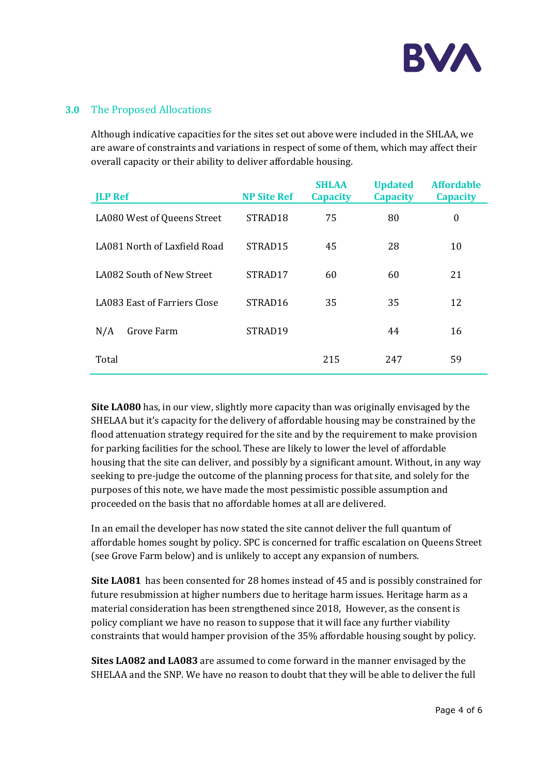

#### **3.0** The Proposed Allocations

Although indicative capacities for the sites set out above were included in the SHLAA, we are aware of constraints and variations in respect of some of them, which may affect their overall capacity or their ability to deliver affordable housing.

| <b>ILP Ref</b>               | <b>NP Site Ref</b>  | <b>SHLAA</b><br><b>Capacity</b> | <b>Updated</b><br><b>Capacity</b> | <b>Affordable</b><br><b>Capacity</b> |
|------------------------------|---------------------|---------------------------------|-----------------------------------|--------------------------------------|
| LA080 West of Queens Street  | STRAD <sub>18</sub> | 75                              | 80                                | 0                                    |
| LA081 North of Laxfield Road | STRAD <sub>15</sub> | 45                              | 28                                | 10                                   |
| LA082 South of New Street    | STRAD17             | 60                              | 60                                | 21                                   |
| LA083 East of Farriers Close | STRAD <sub>16</sub> | 35                              | 35                                | 12                                   |
| N/A<br>Grove Farm            | STRAD <sub>19</sub> |                                 | 44                                | 16                                   |
| Total                        |                     | 215                             | 247                               | 59                                   |

**Site LA080** has, in our view, slightly more capacity than was originally envisaged by the SHELAA but it's capacity for the delivery of affordable housing may be constrained by the flood attenuation strategy required for the site and by the requirement to make provision for parking facilities for the school. These are likely to lower the level of affordable housing that the site can deliver, and possibly by a significant amount. Without, in any way seeking to pre-judge the outcome of the planning process for that site, and solely for the purposes of this note, we have made the most pessimistic possible assumption and proceeded on the basis that no affordable homes at all are delivered.

In an email the developer has now stated the site cannot deliver the full quantum of affordable homes sought by policy. SPC is concerned for traffic escalation on Queens Street (see Grove Farm below) and is unlikely to accept any expansion of numbers.

**Site LA081** has been consented for 28 homes instead of 45 and is possibly constrained for future resubmission at higher numbers due to heritage harm issues. Heritage harm as a material consideration has been strengthened since 2018, However, as the consent is policy compliant we have no reason to suppose that it will face any further viability constraints that would hamper provision of the 35% affordable housing sought by policy.

**Sites LA082 and LA083** are assumed to come forward in the manner envisaged by the SHELAA and the SNP. We have no reason to doubt that they will be able to deliver the full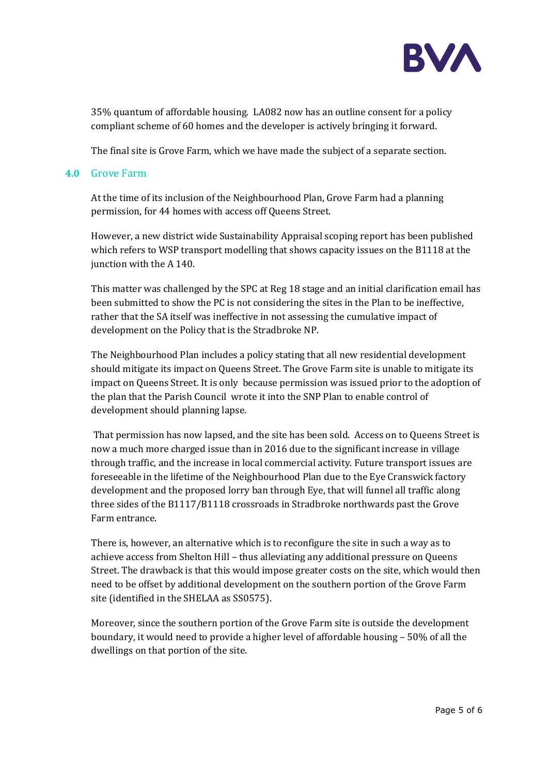

35% quantum of affordable housing. LA082 now has an outline consent for a policy compliant scheme of 60 homes and the developer is actively bringing it forward.

The final site is Grove Farm, which we have made the subject of a separate section.

#### **4.0** Grove Farm

At the time of its inclusion of the Neighbourhood Plan, Grove Farm had a planning permission, for 44 homes with access off Queens Street.

However, a new district wide Sustainability Appraisal scoping report has been published which refers to WSP transport modelling that shows capacity issues on the B1118 at the junction with the A 140.

This matter was challenged by the SPC at Reg 18 stage and an initial clarification email has been submitted to show the PC is not considering the sites in the Plan to be ineffective, rather that the SA itself was ineffective in not assessing the cumulative impact of development on the Policy that is the Stradbroke NP.

The Neighbourhood Plan includes a policy stating that all new residential development should mitigate its impact on Queens Street. The Grove Farm site is unable to mitigate its impact on Queens Street. It is only because permission was issued prior to the adoption of the plan that the Parish Council wrote it into the SNP Plan to enable control of development should planning lapse.

That permission has now lapsed, and the site has been sold. Access on to Queens Street is now a much more charged issue than in 2016 due to the significant increase in village through traffic, and the increase in local commercial activity. Future transport issues are foreseeable in the lifetime of the Neighbourhood Plan due to the Eye Cranswick factory development and the proposed lorry ban through Eye, that will funnel all traffic along three sides of the B1117/B1118 crossroads in Stradbroke northwards past the Grove Farm entrance.

There is, however, an alternative which is to reconfigure the site in such a way as to achieve access from Shelton Hill – thus alleviating any additional pressure on Queens Street. The drawback is that this would impose greater costs on the site, which would then need to be offset by additional development on the southern portion of the Grove Farm site (identified in the SHELAA as SS0575).

Moreover, since the southern portion of the Grove Farm site is outside the development boundary, it would need to provide a higher level of affordable housing – 50% of all the dwellings on that portion of the site.